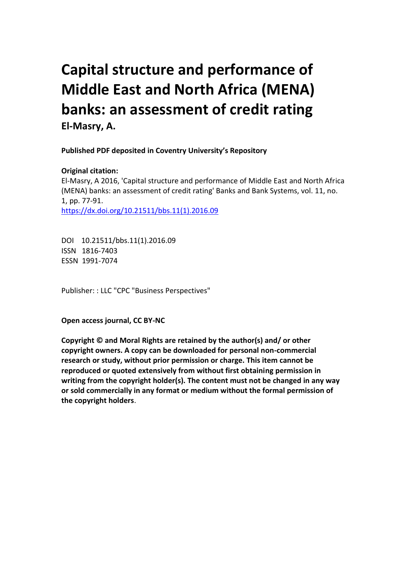# **Capital structure and performance of Middle East and North Africa (MENA) banks: an assessment of credit rating El-Masry, A.**

 **Published PDF deposited in Coventry University's Repository** 

### **Original citation:**

 El-Masry, A 2016, 'Capital structure and performance of Middle East and North Africa (MENA) banks: an assessment of credit rating' Banks and Bank Systems, vol. 11, no. 1, pp. 77-91. https://dx.doi.org/10.21511/bbs.11(1).2016.09

 DOI 10.21511/bbs.11(1).2016.09 ISSN 1816-7403 ESSN 1991-7074

Publisher: : LLC "CPC "Business Perspectives"

**Open access journal, CC BY-NC** 

 **Copyright © and Moral Rights are retained by the author(s) and/ or other copyright owners. A copy can be downloaded for personal non-commercial research or study, without prior permission or charge. This item cannot be reproduced or quoted extensively from without first obtaining permission in writing from the copyright holder(s). The content must not be changed in any way or sold commercially in any format or medium without the formal permission of the copyright holders**.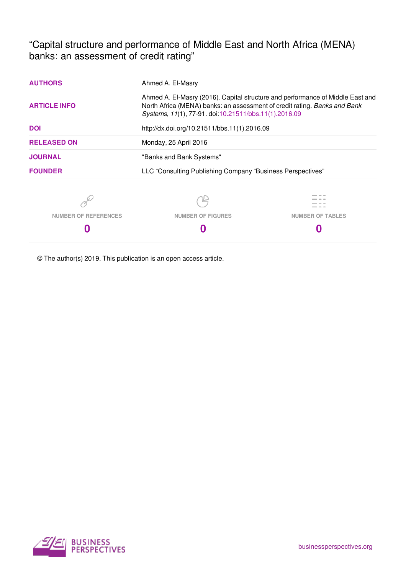"Capital structure and performance of Middle East and North Africa (MENA) banks: an assessment of credit rating"

| <b>AUTHORS</b>              | Ahmed A. El-Masry                                                                                                                                                                                                    |                         |  |
|-----------------------------|----------------------------------------------------------------------------------------------------------------------------------------------------------------------------------------------------------------------|-------------------------|--|
| <b>ARTICLE INFO</b>         | Ahmed A. El-Masry (2016). Capital structure and performance of Middle East and<br>North Africa (MENA) banks: an assessment of credit rating. Banks and Bank<br>Systems, 11(1), 77-91. doi:10.21511/bbs.11(1).2016.09 |                         |  |
| <b>DOI</b>                  | http://dx.doi.org/10.21511/bbs.11(1).2016.09                                                                                                                                                                         |                         |  |
| <b>RELEASED ON</b>          | Monday, 25 April 2016                                                                                                                                                                                                |                         |  |
| <b>JOURNAL</b>              | "Banks and Bank Systems"                                                                                                                                                                                             |                         |  |
| <b>FOUNDER</b>              | LLC "Consulting Publishing Company "Business Perspectives"                                                                                                                                                           |                         |  |
|                             |                                                                                                                                                                                                                      |                         |  |
| <b>NUMBER OF REFERENCES</b> | <b>NUMBER OF FIGURES</b>                                                                                                                                                                                             | <b>NUMBER OF TABLES</b> |  |
|                             |                                                                                                                                                                                                                      |                         |  |

© The author(s) 2019. This publication is an open access article.

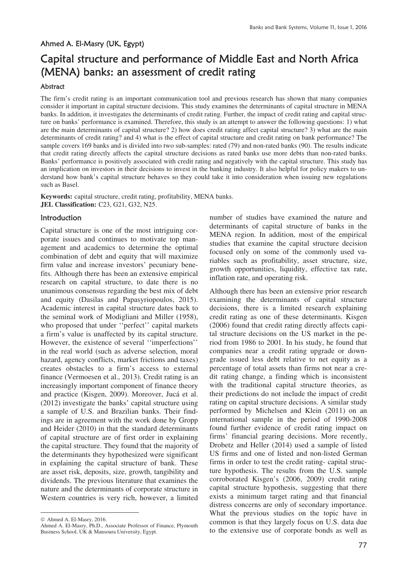#### Ahmed A. El-Masry (UK, Egypt)

## Capital structure and performance of Middle East and North Africa (MENA) banks: an assessment of credit rating

#### Abstract

The firm's credit rating is an important communication tool and previous research has shown that many companies consider it important in capital structure decisions. This study examines the determinants of capital structure in MENA banks. In addition, it investigates the determinants of credit rating. Further, the impact of credit rating and capital structure on banks' performance is examined. Therefore, this study is an attempt to answer the following questions: 1) what are the main determinants of capital structure? 2) how does credit rating affect capital structure? 3) what are the main determinants of credit rating? and 4) what is the effect of capital structure and credit rating on bank performance? The sample covers 169 banks and is divided into two sub-samples: rated (79) and non-rated banks (90). The results indicate that credit rating directly affects the capital structure decisions as rated banks use more debts than non-rated banks. Banks' performance is positively associated with credit rating and negatively with the capital structure. This study has an implication on investors in their decisions to invest in the banking industry. It also helpful for policy makers to understand how bank's capital structure behaves so they could take it into consideration when issuing new regulations such as Basel.

 **JEL Classification:** C23, G21, G32, N25. **Keywords:** capital structure, credit rating, profitability, MENA banks.

#### ¤ Introduction

Capital structure is one of the most intriguing corporate issues and continues to motivate top management and academics to determine the optimal combination of debt and equity that will maximize firm value and increase investors' pecuniary benefits. Although there has been an extensive empirical research on capital structure, to date there is no unanimous consensus regarding the best mix of debt and equity (Dasilas and Papasyriopoulos, 2015). Academic interest in capital structure dates back to the seminal work of Modigliani and Miller (1958), who proposed that under ''perfect'' capital markets a firm's value is unaffected by its capital structure. However, the existence of several ''imperfections'' in the real world (such as adverse selection, moral hazard, agency conflicts, market frictions and taxes) creates obstacles to a firm's access to external finance (Vermoesen et al., 2013). Credit rating is an increasingly important component of finance theory and practice (Kisgen, 2009). Moreover, Jucá et al. (2012) investigate the banks' capital structure using a sample of U.S. and Brazilian banks. Their findings are in agreement with the work done by Gropp and Heider (2010) in that the standard determinants of capital structure are of first order in explaining the capital structure. They found that the majority of the determinants they hypothesized were significant in explaining the capital structure of bank. These are asset risk, deposits, size, growth, tangibility and dividends. The previous literature that examines the nature and the determinants of corporate structure in Western countries is very rich, however, a limited

 $\overline{a}$ 

number of studies have examined the nature and determinants of capital structure of banks in the MENA region. In addition, most of the empirical studies that examine the capital structure decision focused only on some of the commonly used variables such as profitability, asset structure, size, growth opportunities, liquidity, effective tax rate, inflation rate, and operating risk.

Although there has been an extensive prior research examining the determinants of capital structure decisions, there is a limited research explaining credit rating as one of these determinants. Kisgen (2006) found that credit rating directly affects capital structure decisions on the US market in the period from 1986 to 2001. In his study, he found that companies near a credit rating upgrade or downgrade issued less debt relative to net equity as a percentage of total assets than firms not near a credit rating change, a finding which is inconsistent with the traditional capital structure theories, as their predictions do not include the impact of credit rating on capital structure decisions. A similar study performed by Michelsen and Klein (2011) on an international sample in the period of 1990-2008 found further evidence of credit rating impact on firms' financial gearing decisions. More recently, Drobetz and Heller (2014) used a sample of listed US firms and one of listed and non-listed German firms in order to test the credit rating- capital structure hypothesis. The results from the U.S. sample corroborated Kisgen's (2006, 2009) credit rating capital structure hypothesis, suggesting that there exists a minimum target rating and that financial distress concerns are only of secondary importance. What the previous studies on the topic have in common is that they largely focus on U.S. data due to the extensive use of corporate bonds as well as

 $@$  Ahmed A. El-Masry, 2016.

Ahmed A. El-Masry, Ph.D., Associate Professor of Finance, Plymouth Business School, UK & Mansoura University, Egypt.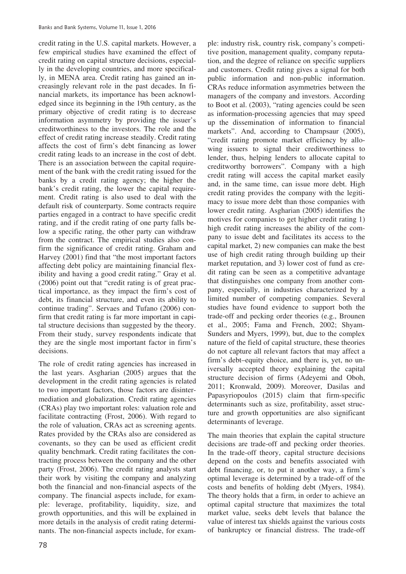credit rating in the U.S. capital markets. However, a few empirical studies have examined the effect of credit rating on capital structure decisions, especially in the developing countries, and more specifically, in MENA area. Credit rating has gained an increasingly relevant role in the past decades. In financial markets, its importance has been acknowledged since its beginning in the 19th century, as the primary objective of credit rating is to decrease information asymmetry by providing the issuer's creditworthiness to the investors. The role and the effect of credit rating increase steadily. Credit rating affects the cost of firm's debt financing as lower credit rating leads to an increase in the cost of debt. There is an association between the capital requirement of the bank with the credit rating issued for the banks by a credit rating agency; the higher the bank's credit rating, the lower the capital requirement. Credit rating is also used to deal with the default risk of counterparty. Some contracts require parties engaged in a contract to have specific credit rating, and if the credit rating of one party falls below a specific rating, the other party can withdraw from the contract. The empirical studies also confirm the significance of credit rating. Graham and Harvey (2001) find that "the most important factors affecting debt policy are maintaining financial flexibility and having a good credit rating." Gray et al. (2006) point out that "credit rating is of great practical importance, as they impact the firm's cost of debt, its financial structure, and even its ability to continue trading". Servaes and Tufano (2006) confirm that credit rating is far more important in capital structure decisions than suggested by the theory. From their study, survey respondents indicate that they are the single most important factor in firm's decisions.

The role of credit rating agencies has increased in the last years. Asgharian (2005) argues that the development in the credit rating agencies is related to two important factors, those factors are disintermediation and globalization. Credit rating agencies (CRAs) play two important roles: valuation role and facilitate contracting (Frost, 2006). With regard to the role of valuation, CRAs act as screening agents. Rates provided by the CRAs also are considered as covenants, so they can be used as efficient credit quality benchmark. Credit rating facilitates the contracting process between the company and the other party (Frost, 2006). The credit rating analysts start their work by visiting the company and analyzing both the financial and non-financial aspects of the company. The financial aspects include, for example: leverage, profitability, liquidity, size, and growth opportunities, and this will be explained in more details in the analysis of credit rating determinants. The non-financial aspects include, for exam-

 as information-processing agencies that may speed ple: industry risk, country risk, company's competitive position, management quality, company reputation, and the degree of reliance on specific suppliers and customers. Credit rating gives a signal for both public information and non-public information. CRAs reduce information asymmetries between the managers of the company and investors. According to Boot et al. (2003), "rating agencies could be seen up the dissemination of information to financial markets". And, according to Champsaur (2005), "credit rating promote market efficiency by allowing issuers to signal their creditworthiness to lender, thus, helping lenders to allocate capital to creditworthy borrowers". Company with a high credit rating will access the capital market easily and, in the same time, can issue more debt. High credit rating provides the company with the legitimacy to issue more debt than those companies with lower credit rating. Asgharian (2005) identifies the motives for companies to get higher credit rating 1) high credit rating increases the ability of the company to issue debt and facilitates its access to the capital market, 2) new companies can make the best use of high credit rating through building up their market reputation, and 3) lower cost of fund as credit rating can be seen as a competitive advantage that distinguishes one company from another company, especially, in industries characterized by a limited number of competing companies. Several studies have found evidence to support both the trade-off and pecking order theories (e.g., Brounen et al., 2005; Fama and French, 2002; Shyam-Sunders and Myers, 1999), but, due to the complex nature of the field of capital structure, these theories do not capture all relevant factors that may affect a firm's debt–equity choice, and there is, yet, no universally accepted theory explaining the capital structure decision of firms (Adeyemi and Oboh, 2011; Kronwald, 2009). Moreover, Dasilas and Papasyriopoulos (2015) claim that firm-specific determinants such as size, profitability, asset structure and growth opportunities are also significant determinants of leverage.

The main theories that explain the capital structure decisions are trade-off and pecking order theories. In the trade-off theory, capital structure decisions depend on the costs and benefits associated with debt financing, or, to put it another way, a firm's optimal leverage is determined by a trade-off of the costs and benefits of holding debt (Myers, 1984). The theory holds that a firm, in order to achieve an optimal capital structure that maximizes the total market value, seeks debt levels that balance the value of interest tax shields against the various costs of bankruptcy or financial distress. The trade-off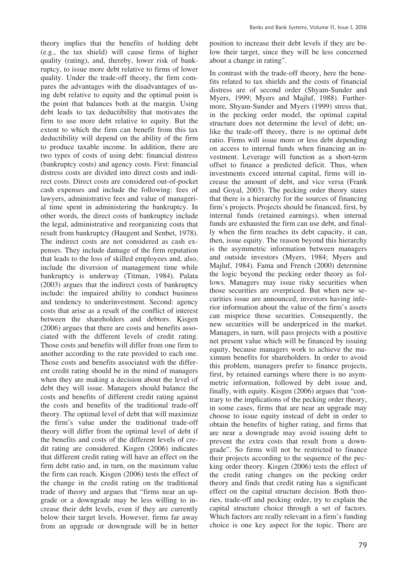theory implies that the benefits of holding debt (e.g., the tax shield) will cause firms of higher quality (rating), and, thereby, lower risk of bankruptcy, to issue more debt relative to firms of lower quality. Under the trade-off theory, the firm compares the advantages with the disadvantages of using debt relative to equity and the optimal point is the point that balances both at the margin. Using debt leads to tax deductibility that motivates the firm to use more debt relative to equity. But the extent to which the firm can benefit from this tax deductibility will depend on the ability of the firm to produce taxable income. In addition, there are two types of costs of using debt: financial distress (bankruptcy costs) and agency costs. First: financial distress costs are divided into direct costs and indirect costs. Direct costs are considered out-of-pocket cash expenses and include the following: fees of lawyers, administrative fees and value of managerial time spent in administering the bankruptcy. In other words, the direct costs of bankruptcy include the legal, administrative and reorganizing costs that result from bankruptcy (Haugent and Senbet, 1978). The indirect costs are not considered as cash expenses. They include damage of the firm reputation that leads to the loss of skilled employees and, also, include the diversion of management time while bankruptcy is underway (Titman, 1984). Palata (2003) argues that the indirect costs of bankruptcy include: the impaired ability to conduct business and tendency to underinvestment. Second: agency costs that arise as a result of the conflict of interest between the shareholders and debtors. Kisgen (2006) argues that there are costs and benefits associated with the different levels of credit rating. Those costs and benefits will differ from one firm to another according to the rate provided to each one. Those costs and benefits associated with the different credit rating should be in the mind of managers when they are making a decision about the level of debt they will issue. Managers should balance the costs and benefits of different credit rating against the costs and benefits of the traditional trade-off theory. The optimal level of debt that will maximize the firm's value under the traditional trade-off theory will differ from the optimal level of debt if the benefits and costs of the different levels of credit rating are considered. Kisgen (2006) indicates that different credit rating will have an effect on the firm debt ratio and, in turn, on the maximum value the firm can reach. Kisgen (2006) tests the effect of the change in the credit rating on the traditional trade of theory and argues that "firms near an upgrade or a downgrade may be less willing to increase their debt levels, even if they are currently below their target levels. However, firms far away from an upgrade or downgrade will be in better

position to increase their debt levels if they are below their target, since they will be less concerned about a change in rating".

In contrast with the trade-off theory, here the benefits related to tax shields and the costs of financial distress are of second order (Shyam-Sunder and Myers, 1999; Myers and Majluf, 1988). Furthermore, Shyam-Sunder and Myers (1999) stress that, in the pecking order model, the optimal capital structure does not determine the level of debt; unlike the trade-off theory, there is no optimal debt ratio. Firms will issue more or less debt depending on access to internal funds when financing an investment. Leverage will function as a short-term offset to finance a predicted deficit. Thus, when investments exceed internal capital, firms will increase the amount of debt, and vice versa (Frank and Goyal, 2003). The pecking order theory states that there is a hierarchy for the sources of financing firm's projects. Projects should be financed, first, by internal funds (retained earnings), when internal funds are exhausted the firm can use debt, and finally when the firm reaches its debt capacity, it can, then, issue equity. The reason beyond this hierarchy is the asymmetric information between managers and outside investors (Myers, 1984; Myers and Majluf, 1984). Fama and French (2000) determine the logic beyond the pecking order theory as follows. Managers may issue risky securities when those securities are overpriced. But when new securities issue are announced, investors having inferior information about the value of the firm's assets can misprice those securities. Consequently, the new securities will be underpriced in the market. Managers, in turn, will pass projects with a positive net present value which will be financed by issuing equity, because managers work to achieve the maximum benefits for shareholders. In order to avoid this problem, managers prefer to finance projects, first, by retained earnings where there is no asymmetric information, followed by debt issue and, finally, with equity. Kisgen (2006) argues that "contrary to the implications of the pecking order theory, in some cases, firms that are near an upgrade may choose to issue equity instead of debt in order to obtain the benefits of higher rating, and firms that are near a downgrade may avoid issuing debt to prevent the extra costs that result from a downgrade". So firms will not be restricted to finance their projects according to the sequence of the pecking order theory. Kisgen (2006) tests the effect of the credit rating changes on the pecking order theory and finds that credit rating has a significant effect on the capital structure decision. Both theories, trade-off and pecking order, try to explain the capital structure choice through a set of factors. Which factors are really relevant in a firm's funding choice is one key aspect for the topic. There are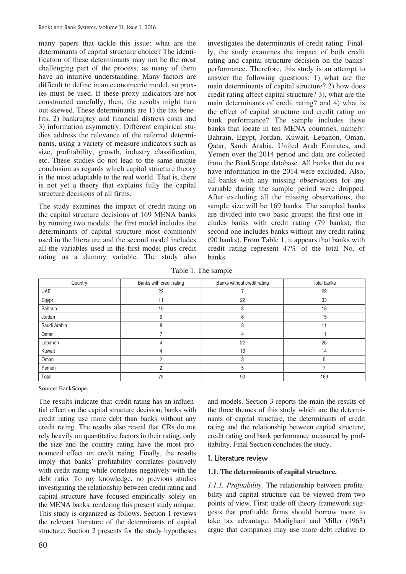many papers that tackle this issue: what are the determinants of capital structure choice? The identification of these determinants may not be the most challenging part of the process, as many of them have an intuitive understanding. Many factors are difficult to define in an econometric model, so proxies must be used. If these proxy indicators are not constructed carefully, then, the results might turn out skewed. These determinants are 1) the tax benefits, 2) bankruptcy and financial distress costs and 3) information asymmetry. Different empirical studies address the relevance of the referred determinants, using a variety of measure indicators such as size, profitability, growth, industry classification, etc. These studies do not lead to the same unique conclusion as regards which capital structure theory is the most adaptable to the real world. That is, there is not yet a theory that explains fully the capital structure decisions of all firms.

The study examines the impact of credit rating on the capital structure decisions of 169 MENA banks by running two models: the first model includes the determinants of capital structure most commonly used in the literature and the second model includes all the variables used in the first model plus credit rating as a dummy variable. The study also

investigates the determinants of credit rating. Finally, the study examines the impact of both credit rating and capital structure decision on the banks' performance. Therefore, this study is an attempt to answer the following questions: 1) what are the main determinants of capital structure? 2) how does credit rating affect capital structure? 3), what are the main determinants of credit rating? and 4) what is the effect of capital structure and credit rating on bank performance? The sample includes those banks that locate in ten MENA countries, namely: Bahrain, Egypt, Jordan, Kuwait, Lebanon, Oman, Qatar, Saudi Arabia, United Arab Emirates, and Yemen over the 2014 period and data are collected from the BankScope database. All banks that do not have information in the 2014 were excluded. Also, all banks with any missing observations for any variable during the sample period were dropped. After excluding all the missing observations, the sample size will be 169 banks. The sampled banks are divided into two basic groups: the first one includes banks with credit rating (79 banks), the second one includes banks without any credit rating (90 banks). From Table 1, it appears that banks with credit rating represent 47% of the total No. of banks.

Table 1. The sample

| Country      | Banks with credit rating | Banks without credit rating | Total banks |
|--------------|--------------------------|-----------------------------|-------------|
| <b>UAE</b>   | 22                       |                             | 29          |
| Egypt        | 11                       | 22                          | 33          |
| Bahrain      | 10                       | 8                           | 18          |
| Jordan       | 9                        | 6                           | 15          |
| Saudi Arabia |                          | З                           |             |
| Qatar        |                          |                             | 11          |
| Lebanon      | 4                        | 22                          | 26          |
| Kuwait       |                          | 10                          | 14          |
| Oman         |                          | 3                           |             |
| Yemen        | 2                        | 5                           |             |
| Total        | 79                       | 90                          | 169         |

Source: BankScope.

 rely heavily on quantitative factors in their rating, only the MENA banks, rendering this present study unique. The results indicate that credit rating has an influential effect on the capital structure decision; banks with credit rating use more debt than banks without any credit rating. The results also reveal that CRs do not the size and the country rating have the most pronounced effect on credit rating. Finally, the results imply that banks' profitability correlates positively with credit rating while correlates negatively with the debt ratio. To my knowledge, no previous studies investigating the relationship between credit rating and capital structure have focused empirically solely on This study is organized as follows. Section 1 reviews. the relevant literature of the determinants of capital structure. Section 2 presents for the study hypotheses

80

and models. Section 3 reports the main the results of the three themes of this study which are the determinants of capital structure, the determinants of credit rating and the relationship between capital structure, credit rating and bank performance measured by profitability. Final Section concludes the study.

#### 1. Literature review

#### **1.1. The determinants of capital structure.**

*1.1.1. Profitability.* The relationship between profitability and capital structure can be viewed from two points of view. First: trade-off theory framework suggests that profitable firms should borrow more to take tax advantage. Modigliani and Miller (1963) argue that companies may use more debt relative to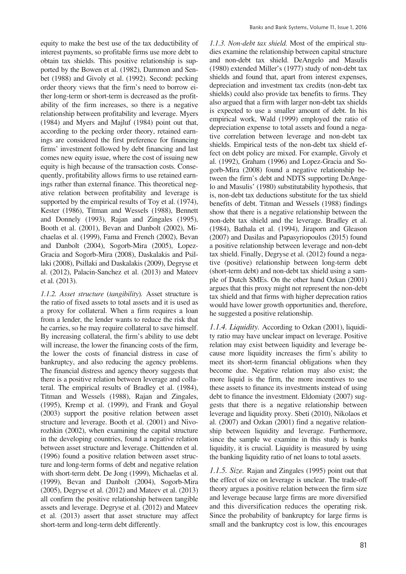order theory views that the firm's need to borrow ei equity to make the best use of the tax deductibility of interest payments, so profitable firms use more debt to obtain tax shields. This positive relationship is supported by the Bowen et al. (1982), Dammon and Senbet (1988) and Givoly et al. (1992). Second: pecking ther long-term or short-term is decreased as the profitability of the firm increases, so there is a negative relationship between profitability and leverage. Myers (1984) and Myers and Majluf (1984) point out that, according to the pecking order theory, retained earnings are considered the first preference for financing firms' investment followed by debt financing and last comes new equity issue, where the cost of issuing new equity is high because of the transaction costs. Consequently, profitability allows firms to use retained earnings rather than external finance. This theoretical negative relation between profitability and leverage is supported by the empirical results of Toy et al. (1974), Kester (1986), Titman and Wessels (1988), Bennett and Donnely (1993), Rajan and Zingales (1995), Booth et al. (2001), Bevan and Danbolt (2002), Michaelas et al. (1999), Fama and French (2002), Bevan and Danbolt (2004), Sogorb-Mira (2005), Lopez-Gracia and Sogorb-Mira (2008), Daskalakis and Psillaki (2008), Psillaki and Daskalakis (2009), Degryse et al. (2012), Palacin-Sanchez et al. (2013) and Mateev et al. (2013).

 he carries, so he may require collateral to save himself. bankruptcy, and also reducing the agency problems. *1.1.2. Asset structure* (*tangibility*)*.* Asset structure is the ratio of fixed assets to total assets and it is used as a proxy for collateral. When a firm requires a loan from a lender, the lender wants to reduce the risk that By increasing collateral, the firm's ability to use debt will increase, the lower the financing costs of the firm, the lower the costs of financial distress in case of The financial distress and agency theory suggests that there is a positive relation between leverage and collateral. The empirical results of Bradley et al. (1984), Titman and Wessels (1988), Rajan and Zingales, (1995), Kremp et al. (1999), and Frank and Goyal (2003) support the positive relation between asset structure and leverage. Booth et al. (2001) and Nivorozhkin (2002), when examining the capital structure in the developing countries, found a negative relation between asset structure and leverage. Chittenden et al. (1996) found a positive relation between asset structure and long-term forms of debt and negative relation with short-term debt. De Jong (1999), Michaelas et al. (1999), Bevan and Danbolt (2004), Sogorb-Mira (2005), Degryse et al. (2012) and Mateev et al. (2013) all confirm the positive relationship between tangible assets and leverage. Degryse et al. (2012) and Mateev et al. (2013) assert that asset structure may affect short-term and long-term debt differently.

*1.1.3. Non-debt tax shield.* Most of the empirical studies examine the relationship between capital structure and non-debt tax shield. DeAngelo and Masulis (1980) extended Miller's (1977) study of non-debt tax shields and found that, apart from interest expenses, depreciation and investment tax credits (non-debt tax shields) could also provide tax benefits to firms. They also argued that a firm with larger non-debt tax shields is expected to use a smaller amount of debt. In his empirical work, Wald (1999) employed the ratio of depreciation expense to total assets and found a negative correlation between leverage and non-debt tax shields. Empirical tests of the non-debt tax shield effect on debt policy are mixed. For example, Givoly et al. (1992), Graham (1996) and Lopez-Gracia and Sogorb-Mira (2008) found a negative relationship between the firm's debt and NDTS supporting DeAngelo and Masulis' (1980) substitutability hypothesis, that is, non-debt tax deductions substitute for the tax shield benefits of debt. Titman and Wessels (1988) findings show that there is a negative relationship between the non-debt tax shield and the leverage. Bradley et al. (1984), Bathala et al. (1994), Jiraporn and Gleason (2007) and Dasilas and Papasyriopoulos (2015) found a positive relationship between leverage and non-debt tax shield. Finally, Degryse et al. (2012) found a negative (positive) relationship between long-term debt (short-term debt) and non-debt tax shield using a sample of Dutch SMEs. On the other hand Ozkan (2001) argues that this proxy might not represent the non-debt tax shield and that firms with higher deprecation ratios would have lower growth opportunities and, therefore, he suggested a positive relationship.

 become due. Negative relation may also exist; the since the sample we examine in this study is banks *1.1.4. Liquidity.* According to Ozkan (2001), liquidity ratio may have unclear impact on leverage. Positive relation may exist between liquidity and leverage because more liquidity increases the firm's ability to meet its short-term financial obligations when they more liquid is the firm, the more incentives to use these assets to finance its investments instead of using debt to finance the investment. Eldomiaty (2007) suggests that there is a negative relationship between leverage and liquidity proxy. Sbeti (2010), Nikolaos et al. (2007) and Ozkan (2001) find a negative relationship between liquidity and leverage. Furthermore, liquidity, it is crucial. Liquidity is measured by using the banking liquidity ratio of net loans to total assets.

 and this diversification reduces the operating risk. *1.1.5. Size.* Rajan and Zingales (1995) point out that the effect of size on leverage is unclear. The trade-off theory argues a positive relation between the firm size and leverage because large firms are more diversified Since the probability of bankruptcy for large firms is small and the bankruptcy cost is low, this encourages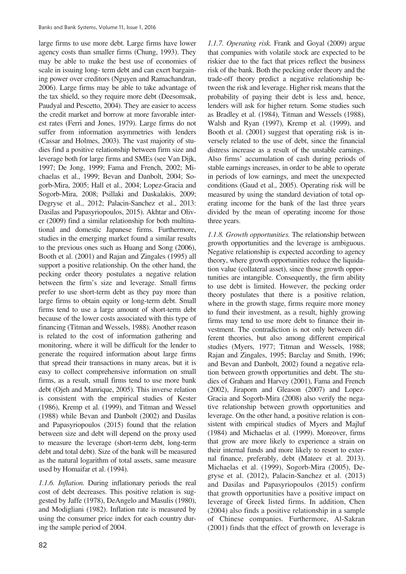large firms to use more debt. Large firms have lower agency costs than smaller firms (Chung, 1993). They may be able to make the best use of economies of scale in issuing long- term debt and can exert bargaining power over creditors (Nguyen and Ramachandran, 2006). Large firms may be able to take advantage of the tax shield, so they require more debt (Deesomsak, Paudyal and Pescetto, 2004). They are easier to access the credit market and borrow at more favorable interest rates (Ferri and Jones, 1979). Large firms do not suffer from information asymmetries with lenders (Cassar and Holmes, 2003). The vast majority of studies find a positive relationship between firm size and leverage both for large firms and SMEs (see Van Dijk, 1997; De Jong, 1999; Fama and French, 2002; Michaelas et al., 1999; Bevan and Danbolt, 2004; Sogorb-Mira, 2005; Hall et al., 2004; Lopez-Gracia and Sogorb-Mira, 2008; Psillaki and Daskalakis, 2009; Degryse et al., 2012; Palacin-Sanchez et al., 2013: Dasilas and Papasyriopoulos, 2015). Akhtar and Oliver (2009) find a similar relationship for both multinational and domestic Japanese firms. Furthermore, studies in the emerging market found a similar results to the previous ones such as Huang and Song (2006), Booth et al. (2001) and Rajan and Zingales (1995) all support a positive relationship. On the other hand, the pecking order theory postulates a negative relation between the firm's size and leverage. Small firms prefer to use short-term debt as they pay more than large firms to obtain equity or long-term debt. Small firms tend to use a large amount of short-term debt because of the lower costs associated with this type of financing (Titman and Wessels, 1988). Another reason is related to the cost of information gathering and monitoring, where it will be difficult for the lender to generate the required information about large firms that spread their transactions in many areas, but it is easy to collect comprehensive information on small firms, as a result, small firms tend to use more bank debt (Ojeh and Manrique, 2005). This inverse relation is consistent with the empirical studies of Kester (1986), Kremp et al. (1999), and Titman and Wessel (1988) while Bevan and Danbolt (2002) and Dasilas and Papasyriopoulos (2015) found that the relation between size and debt will depend on the proxy used to measure the leverage (short-term debt, long-term debt and total debt). Size of the bank will be measured as the natural logarithm of total assets, same measure used by Homaifar et al. (1994).

*1.1.6. Inflation.* During inflationary periods the real cost of debt decreases. This positive relation is suggested by Jaffe (1978), DeAngelo and Masulis (1980), and Modigliani (1982). Inflation rate is measured by using the consumer price index for each country during the sample period of 2004.

 lenders will ask for higher return. Some studies such versely related to the use of debt, since the financial three years. *1.1.7. Operating risk.* Frank and Goyal (2009) argue that companies with volatile stock are expected to be riskier due to the fact that prices reflect the business risk of the bank. Both the pecking order theory and the trade-off theory predict a negative relationship between the risk and leverage. Higher risk means that the probability of paying their debt is less and, hence, as Bradley et al. (1984), Titman and Wessels (1988), Walsh and Ryan (1997), Kremp et al. (1999), and Booth et al. (2001) suggest that operating risk is indistress increase as a result of the unstable earnings. Also firms' accumulation of cash during periods of stable earnings increases, in order to be able to operate in periods of low earnings, and meet the unexpected conditions (Gaud et al., 2005). Operating risk will be measured by using the standard deviation of total operating income for the bank of the last three years divided by the mean of operating income for those

*1.1.8. Growth opportunities.* The relationship between growth opportunities and the leverage is ambiguous. Negative relationship is expected according to agency theory, where growth opportunities reduce the liquidation value (collateral asset), since those growth opportunities are intangible. Consequently, the firm ability to use debt is limited. However, the pecking order theory postulates that there is a positive relation, where in the growth stage, firms require more money to fund their investment, as a result, highly growing firms may tend to use more debt to finance their investment. The contradiction is not only between different theories, but also among different empirical studies (Myers, 1977; Titman and Wessels, 1988; Rajan and Zingales, 1995; Barclay and Smith, 1996; and Bevan and Danbolt, 2002) found a negative relation between growth opportunities and debt. The studies of Graham and Harvey (2001), Fama and French (2002), Jiraporn and Gleason (2007) and Lopez-Gracia and Sogorb-Mira (2008) also verify the negative relationship between growth opportunities and leverage. On the other hand, a positive relation is consistent with empirical studies of Myers and Majluf (1984) and Michaelas et al. (1999). Moreover, firms that grow are more likely to experience a strain on their internal funds and more likely to resort to external finance, preferably, debt (Mateev et al. 2013). Michaelas et al. (1999), Sogorb-Mira (2005), Degryse et al. (2012), Palacin-Sanchez et al. (2013) and Dasilas and Papasyriopoulos (2015) confirm that growth opportunities have a positive impact on leverage of Greek listed firms. In addition, Chen (2004) also finds a positive relationship in a sample of Chinese companies. Furthermore, Al-Sakran (2001) finds that the effect of growth on leverage is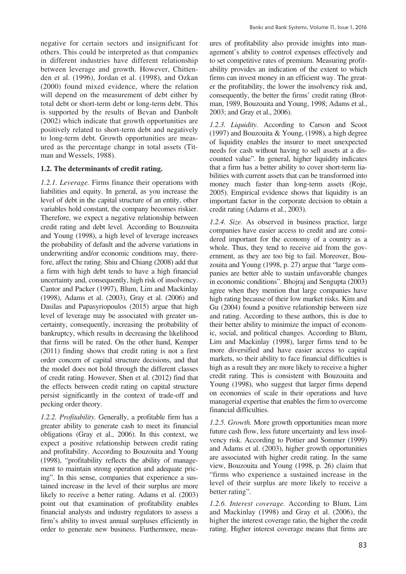negative for certain sectors and insignificant for (2000) found mixed evidence, where the relation others. This could be interpreted as that companies in different industries have different relationship between leverage and growth. However, Chittenden et al. (1996), Jordan et al. (1998), and Ozkan will depend on the measurement of debt either by total debt or short-term debt or long-term debt. This is supported by the results of Bevan and Danbolt (2002) which indicate that growth opportunities are positively related to short-term debt and negatively to long-term debt. Growth opportunities are measured as the percentage change in total assets (Titman and Wessels, 1988).

#### **1.2. The determinants of credit rating.**

 *1.2.1. Leverage.* Firms finance their operations with pecking order theory. liabilities and equity. In general, as you increase the level of debt in the capital structure of an entity, other variables hold constant, the company becomes riskier. Therefore, we expect a negative relationship between credit rating and debt level. According to Bouzouita and Young (1998), a high level of leverage increases the probability of default and the adverse variations in underwriting and/or economic conditions may, therefore, affect the rating. Shiu and Chiang (2008) add that a firm with high debt tends to have a high financial uncertainty and, consequently, high risk of insolvency. Cantor and Packer (1997), Blum, Lim and Mackinlay (1998), Adams et al. (2003), Gray et al. (2006) and Dasilas and Papasyriopoulos (2015) argue that high level of leverage may be associated with greater uncertainty, consequently, increasing the probability of bankruptcy, which results in decreasing the likelihood that firms will be rated. On the other hand, Kemper (2011) finding shows that credit rating is not a first order concern of capital structure decisions, and that the model does not hold through the different classes of credit rating. However, Shen et al. (2012) find that the effects between credit rating on capital structure persist significantly in the context of trade-off and

*1.2.2. Profitability.* Generally, a profitable firm has a greater ability to generate cash to meet its financial obligations (Gray et al., 2006). In this context, we expect a positive relationship between credit rating and profitability. According to Bouzouita and Young (1998), "profitability reflects the ability of management to maintain strong operation and adequate pricing". In this sense, companies that experience a sustained increase in the level of their surplus are more likely to receive a better rating. Adams et al. (2003) point out that examination of profitability enables financial analysts and industry regulators to assess a firm's ability to invest annual surpluses efficiently in order to generate new business. Furthermore, measures of profitability also provide insights into management's ability to control expenses effectively and to set competitive rates of premium. Measuring profitability provides an indication of the extent to which firms can invest money in an efficient way. The greater the profitability, the lower the insolvency risk and, consequently, the better the firms' credit rating (Brotman, 1989, Bouzouita and Young, 1998; Adams et al., 2003; and Gray et al., 2006).

*1.2.3. Liquidity.* According to Carson and Scoot (1997) and Bouzouita & Young, (1998), a high degree of liquidity enables the insurer to meet unexpected needs for cash without having to sell assets at a discounted value". In general, higher liquidity indicates that a firm has a better ability to cover short-term liabilities with current assets that can be transformed into money much faster than long-term assets (Roje, 2005). Empirical evidence shows that liquidity is an important factor in the corporate decision to obtain a credit rating (Adams et al., 2003).

*1.2.4. Size.* As observed in business practice, large companies have easier access to credit and are considered important for the economy of a country as a whole. Thus, they tend to receive aid from the government, as they are too big to fail. Moreover, Bouzouita and Young (1998, p. 27) argue that "large companies are better able to sustain unfavorable changes in economic conditions". Bhojraj and Sengupta (2003) agree when they mention that large companies have high rating because of their low market risks. Kim and Gu (2004) found a positive relationship between size and rating. According to these authors, this is due to their better ability to minimize the impact of economic, social, and political changes. According to Blum, Lim and Mackinlay (1998), larger firms tend to be more diversified and have easier access to capital markets, so their ability to face financial difficulties is high as a result they are more likely to receive a higher credit rating. This is consistent with Bouzouita and Young (1998), who suggest that larger firms depend on economies of scale in their operations and have managerial expertise that enables the firm to overcome financial difficulties.

 view, Bouzouita and Young (1998, p. 26) claim that *1.2.5. Growth.* More growth opportunities mean more future cash flow, less future uncertainty and less insolvency risk. According to Pottier and Sommer (1999) and Adams et al. (2003), higher growth opportunities are associated with higher credit rating. In the same "firms who experience a sustained increase in the level of their surplus are more likely to receive a better rating".

 higher the interest coverage ratio, the higher the credit *1.2.6. Interest coverage.* According to Blum, Lim and Mackinlay (1998) and Gray et al. (2006), the rating. Higher interest coverage means that firms are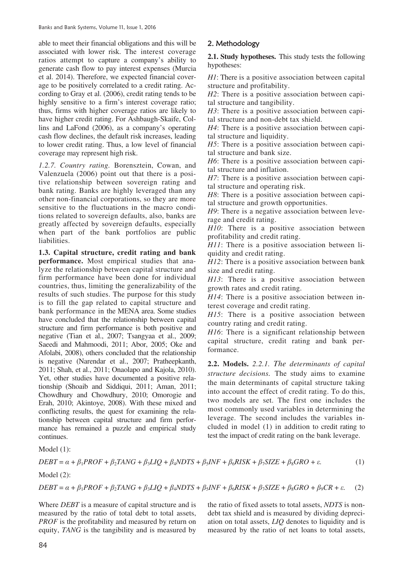associated with lower risk. The interest coverage ratios attempt to capture a company's ability to generate cash flow to pay interest expenses (Murcia coverage may represent high risk. able to meet their financial obligations and this will be et al. 2014). Therefore, we expected financial coverage to be positively correlated to a credit rating. According to Gray et al. (2006), credit rating tends to be highly sensitive to a firm's interest coverage ratio; thus, firms with higher coverage ratios are likely to have higher credit rating. For Ashbaugh-Skaife, Collins and LaFond (2006), as a company's operating cash flow declines, the default risk increases, leading to lower credit rating. Thus, a low level of financial

 other non-financial corporations, so they are more *1.2.7. Country rating.* Borensztein, Cowan, and Valenzuela (2006) point out that there is a positive relationship between sovereign rating and bank rating. Banks are highly leveraged than any sensitive to the fluctuations in the macro conditions related to sovereign defaults, also, banks are greatly affected by sovereign defaults, especially when part of the bank portfolios are public liabilities.

 results of such studies. The purpose for this study continues. **1.3. Capital structure, credit rating and bank performance.** Most empirical studies that analyze the relationship between capital structure and firm performance have been done for individual countries, thus, limiting the generalizability of the is to fill the gap related to capital structure and bank performance in the MENA area. Some studies have concluded that the relationship between capital structure and firm performance is both positive and negative (Tian et al., 2007; Tsangyaa et al., 2009; Saeedi and Mahmoodi, 2011; Abor, 2005; Oke and Afolabi, 2008), others concluded that the relationship is negative (Narendar et al., 2007; Pratheepkanth, 2011; Shah, et al., 2011; Onaolapo and Kajola, 2010). Yet, other studies have documented a positive relationship (Shoaib and Siddiqui, 2011; Aman, 2011; Chowdhury and Chowdhury, 2010; Omorogie and Erah, 2010; Akintoye, 2008). With these mixed and conflicting results, the quest for examining the relationship between capital structure and firm performance has remained a puzzle and empirical study able to meet their financial objegators and this will be to meet their financial of the meet to were approaching to the summatrition attemtion and the summatrical states and 2004. There is a population of the summatrical

**2.1. Study hypotheses.** This study tests the following hypotheses:

 *H1*: There is a positive association between capital structure and profitability.

*H2*: There is a positive association between capital structure and tangibility.

*H3*: There is a positive association between capital structure and non-debt tax shield.

*H4*: There is a positive association between capital structure and liquidity.

*H5*: There is a positive association between capital structure and bank size.

*H6*: There is a positive association between capital structure and inflation.

*H7*: There is a positive association between capital structure and operating risk.

*H8*: There is a positive association between capital structure and growth opportunities.

*H9*: There is a negative association between leverage and credit rating.

*H10*: There is a positive association between profitability and credit rating.

*H11*: There is a positive association between liquidity and credit rating.

*H12*: There is a positive association between bank size and credit rating.

*H13*: There is a positive association between growth rates and credit rating.

*H14*: There is a positive association between interest coverage and credit rating.

*H15*: There is a positive association between country rating and credit rating.

*H16*: There is a significant relationship between capital structure, credit rating and bank performance.

 test the impact of credit rating on the bank leverage. **2.2. Models.** *2.2.1. The determinants of capital structure decisions.* The study aims to examine the main determinants of capital structure taking into account the effect of credit rating. To do this, two models are set. The first one includes the most commonly used variables in determining the leverage. The second includes the variables included in model (1) in addition to credit rating to

Model (1):

$$
DEBT = \alpha + \beta_1 PROF + \beta_2 TANG + \beta_3 LIQ + \beta_4 NDTS + \beta_5 INF + \beta_6 RISK + \beta_7 SIZE + \beta_8 GRO + \varepsilon. \tag{1}
$$

Model (2):

$$
DEBT = \alpha + \beta_1 PROF + \beta_2 TANG + \beta_3 LIQ + \beta_4 NDTS + \beta_5 INF + \beta_6 RISK + \beta_7 SIZE + \beta_8 GRO + \beta_9 CR + \varepsilon. \tag{2}
$$

Where *DEBT* is a measure of capital structure and is the ratio of fixed assets to total assets, *NDTS* is nonmeasured by the ratio of total debt to total assets, debt tax shield and is measured by dividing depreci-*PROF* is the profitability and measured by return on ation on total assets, *LIQ* denotes to liquidity and is equity, *TANG* is the tangibility and is measured by measured by the ratio of net loans to total assets,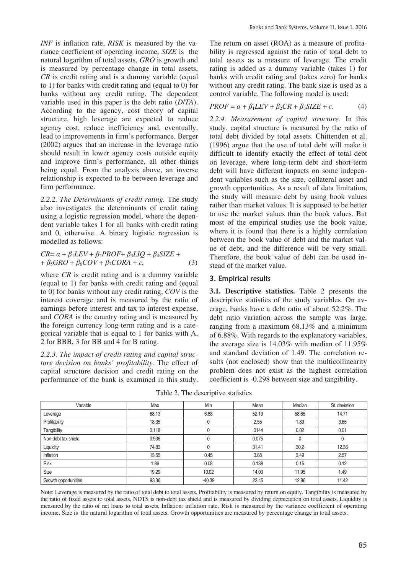*INF* is inflation rate, *RISK* is measured by the variance coefficient of operating income, *SIZE* is the natural logarithm of total assets, *GRO* is growth and is measured by percentage change in total assets, *CR* is credit rating and is a dummy variable (equal to 1) for banks with credit rating and (equal to 0) for banks without any credit rating. The dependent variable used in this paper is the debt ratio (*D*/*TA*). According to the agency, cost theory of capital structure, high leverage are expected to reduce agency cost, reduce inefficiency and, eventually, lead to improvements in firm's performance. Berger (2002) argues that an increase in the leverage ratio should result in lower agency costs outside equity and improve firm's performance, all other things being equal. From the analysis above, an inverse relationship is expected to be between leverage and firm performance.

*2.2.2. The Determinants of credit rating.* The study also investigates the determinants of credit rating using a logistic regression model, where the dependent variable takes 1 for all banks with credit rating and 0, otherwise. A binary logistic regression is modelled as follows:

$$
CR = \alpha + \beta_1 LEV + \beta_2 PROF + \beta_3 LIQ + \beta_4 SIZE ++ \beta_5 GRO + \beta_6 COV + \beta_7 CORA + \varepsilon,
$$
 (3)

where *CR* is credit rating and is a dummy variable (equal to 1) for banks with credit rating and (equal to 0) for banks without any credit rating, *COV* is the interest coverage and is measured by the ratio of earnings before interest and tax to interest expense, and *CORA* is the country rating and is measured by the foreign currency long-term rating and is a categorical variable that is equal to 1 for banks with A, 2 for BBB, 3 for BB and 4 for B rating.

*2.2.3. The impact of credit rating and capital structure decision on banks' profitability.* The effect of capital structure decision and credit rating on the performance of the bank is examined in this study. The return on asset (ROA) as a measure of profitability is regressed against the ratio of total debt to total assets as a measure of leverage. The credit rating is added as a dummy variable (takes 1) for banks with credit rating and (takes zero) for banks without any credit rating. The bank size is used as a control variable. The following model is used:

$$
PROF = \alpha + \beta_1 LEV + \beta_2 CR + \beta_3 SIZE + \varepsilon. \tag{4}
$$

*2.2.4. Measurement of capital structure.* In this study, capital structure is measured by the ratio of total debt divided by total assets. Chittenden et al. (1996) argue that the use of total debt will make it difficult to identify exactly the effect of total debt on leverage, where long-term debt and short-term debt will have different impacts on some independent variables such as the size, collateral asset and growth opportunities. As a result of data limitation, the study will measure debt by using book values rather than market values. It is supposed to be better to use the market values than the book values. But most of the empirical studies use the book value, where it is found that there is a highly correlation between the book value of debt and the market value of debt, and the difference will be very small. Therefore, the book value of debt can be used instead of the market value.

#### 3. Empirical results

**3.1. Descriptive statistics.** Table 2 presents the descriptive statistics of the study variables. On average, banks have a debt ratio of about 52.2%. The debt ratio variation across the sample was large, ranging from a maximum 68.13% and a minimum of 6.88%. With regards to the explanatory variables, the average size is 14.03% with median of 11.95% and standard deviation of 1.49. The correlation results (not enclosed) show that the multicollinearity problem does not exist as the highest correlation coefficient is -0.298 between size and tangibility.

| Variable             | Max   | Min      | Mean  | Median | St. deviation |
|----------------------|-------|----------|-------|--------|---------------|
| Leverage             | 68.13 | 6.88     | 52.19 | 58.65  | 14.71         |
| Profitability        | 18.35 | 0        | 2.55  | 1.89   | 3.65          |
| Tangibility          | 0.118 | 0        | .0144 | 0.02   | 0.01          |
| Non-debt tax shield  | 0.936 | 0        | 0.075 |        |               |
| Liquidity            | 74.83 | 0        | 31.41 | 30.2   | 12.36         |
| Inflation            | 13.55 | 0.45     | 3.88  | 3.49   | 2.57          |
| <b>Risk</b>          | 1.86  | 0.08     | 0.188 | 0.15   | 0.12          |
| Size                 | 19.29 | 10.02    | 14.03 | 11.95  | 1.49          |
| Growth opportunities | 93.36 | $-40.39$ | 23.45 | 12.86  | 11.42         |

Table 2. The descriptive statistics

 Note: Leverage is measured by the ratio of total debt to total assets, Profitability is measured by return on equity, Tangibility is measured by measured by the ratio of net loans to total assets, Inflation: inflation rate, Risk is measured by the variance coefficient of operating the ratio of fixed assets to total assets, NDTS is non-debt tax shield and is measured by dividing depreciation on total assets, Liquidity is income, Size is the natural logarithm of total assets, Growth opportunities are measured by percentage change in total assets.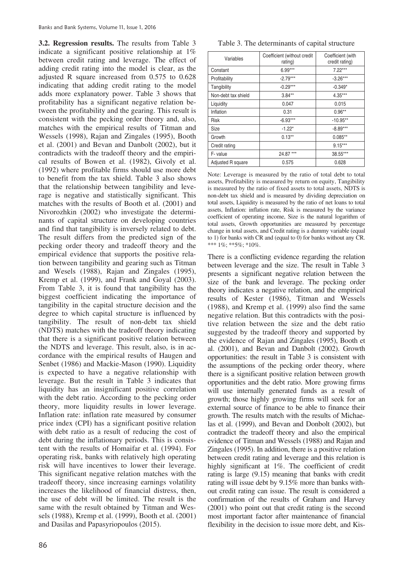Kremp et al. (1999), and Frank and Goyal (2003). From Table 3, it is found that tangibility has the **3.2. Regression results.** The results from Table 3 indicate a significant positive relationship at 1% between credit rating and leverage. The effect of adding credit rating into the model is clear, as the adjusted R square increased from 0.575 to 0.628 indicating that adding credit rating to the model adds more explanatory power. Table 3 shows that profitability has a significant negative relation between the profitability and the gearing. This result is consistent with the pecking order theory and, also, matches with the empirical results of Titman and Wessels (1998), Rajan and Zingales (1995), Booth et al. (2001) and Bevan and Danbolt (2002), but it contradicts with the tradeoff theory and the empirical results of Bowen et al. (1982), Givoly et al. (1992) where profitable firms should use more debt to benefit from the tax shield. Table 3 also shows that the relationship between tangibility and leverage is negative and statistically significant. This matches with the results of Booth et al. (2001) and Nivorozhkin (2002) who investigate the determinants of capital structure on developing countries and find that tangibility is inversely related to debt. The result differs from the predicted sign of the pecking order theory and tradeoff theory and the empirical evidence that supports the positive relation between tangibility and gearing such as Titman and Wesels (1988), Rajan and Zingales (1995), biggest coefficient indicating the importance of tangibility in the capital structure decision and the degree to which capital structure is influenced by tangibility. The result of non-debt tax shield (NDTS) matches with the tradeoff theory indicating that there is a significant positive relation between the NDTS and leverage. This result, also, is in accordance with the empirical results of Haugen and Senbet (1986) and Mackie-Mason (1990). Liquidity is expected to have a negative relationship with leverage. But the result in Table 3 indicates that liquidity has an insignificant positive correlation with the debt ratio. According to the pecking order theory, more liquidity results in lower leverage. Inflation rate: inflation rate measured by consumer price index (CPI) has a significant positive relation with debt ratio as a result of reducing the cost of debt during the inflationary periods. This is consistent with the results of Homaifar et al. (1994). For operating risk, banks with relatively high operating risk will have incentives to lower their leverage. This significant negative relation matches with the tradeoff theory, since increasing earnings volatility increases the likelihood of financial distress, then, the use of debt will be limited. The result is the same with the result obtained by Titman and Wessels (1988), Kremp et al. (1999), Booth et al. (2001) and Dasilas and Papasyriopoulos (2015).

86

|  |  | Table 3. The determinants of capital structure |  |  |  |
|--|--|------------------------------------------------|--|--|--|
|--|--|------------------------------------------------|--|--|--|

| Variables           | Coefficient (without credit<br>rating) | Coefficient (with<br>credit rating) |
|---------------------|----------------------------------------|-------------------------------------|
| Constant            | $6.99***$                              | $7.22***$                           |
| Profitability       | $-2.79***$                             | $-3.26***$                          |
| Tangibility         | $-0.29***$                             | $-0.349*$                           |
| Non-debt tax shield | $3.84**$                               | $4.35***$                           |
| Liquidity           | 0.047                                  | 0.015                               |
| Inflation           | 0.31                                   | $0.96**$                            |
| <b>Risk</b>         | $-6.93***$                             | $-10.95**$                          |
| Size                | $-1.22*$                               | $-8.89***$                          |
| Growth              | $0.13**$                               | $0.085**$                           |
| Credit rating       |                                        | $9.15***$                           |
| F-value             | 24.87 ***                              | 38.55***                            |
| Adjusted R square   | 0.575                                  | 0.628                               |

 assets, Profitability is measured by return on equity, Tangibility is measured by the ratio of fixed assets to total assets, NDTS is non-debt tax shield and is measured by dividing depreciation on total assets, Liquidity is measured by the ratio of net loans to total coefficient of operating income, Size is the natural logarithm of Note: Leverage is measured by the ratio of total debt to total assets, Inflation: inflation rate, Risk is measured by the variance total assets, Growth opportunities are measured by percentage change in total assets, and Credit rating is a dummy variable (equal to 1) for banks with CR and (equal to 0) for banks without any CR. \*\*\* 1%; \*\*5%; \*10%.

 the evidence of Rajan and Zingales (1995), Booth et There is a conflicting evidence regarding the relation between leverage and the size. The result in Table 3 presents a significant negative relation between the size of the bank and leverage. The pecking order theory indicates a negative relation, and the empirical results of Kester (1986), Titman and Wessels (1988), and Kremp et al. (1999) also find the same negative relation. But this contradicts with the positive relation between the size and the debt ratio suggested by the tradeoff theory and supported by al. (2001), and Bevan and Danbolt (2002). Growth opportunities: the result in Table 3 is consistent with the assumptions of the pecking order theory, where there is a significant positive relation between growth opportunities and the debt ratio. More growing firms will use internally generated funds as a result of growth; those highly growing firms will seek for an external source of finance to be able to finance their growth. The results match with the results of Michaelas et al. (1999), and Bevan and Donbolt (2002), but contradict the tradeoff theory and also the empirical evidence of Titman and Wessels (1988) and Rajan and Zingales (1995). In addition, there is a positive relation between credit rating and leverage and this relation is highly significant at 1%. The coefficient of credit rating is large (9.15) meaning that banks with credit rating will issue debt by 9.15% more than banks without credit rating can issue. The result is considered a confirmation of the results of Graham and Harvey (2001) who point out that credit rating is the second most important factor after maintenance of financial flexibility in the decision to issue more debt, and Kis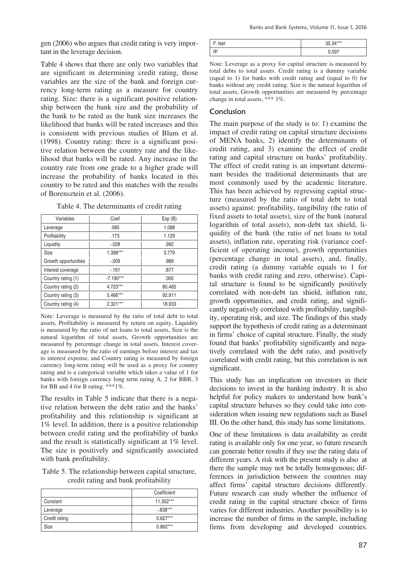gen (2006) who argues that credit rating is very important in the leverage decision.

 Table 4 shows that there are only two variables that are significant in determining credit rating, those variables are the size of the bank and foreign currency long-term rating as a measure for country rating. Size: there is a significant positive relationship between the bank size and the probability of the bank to be rated as the bank size increases the likelihood that banks will be rated increases and this is consistent with previous studies of Blum et al. (1998). Country rating: there is a significant positive relation between the country rate and the likelihood that banks will be rated. Any increase in the country rate from one grade to a higher grade will increase the probability of banks located in this country to be rated and this matches with the results of Borensztein et al. (2006).

|  |  | Table 4. The determinants of credit rating |  |  |  |
|--|--|--------------------------------------------|--|--|--|
|--|--|--------------------------------------------|--|--|--|

| Variables            | Coef        | Exp(B) |
|----------------------|-------------|--------|
| Leverage             | .085        | 1.088  |
| Profitability        | .173        | 1.129  |
| Liquidity            | $-.028$     | .992   |
| Size                 | 1.398***    | 3.779  |
| Growth opportunities | $-.009$     | .989   |
| Interest coverage    | $-161$      | .877   |
| Country rating (1)   | $-7.190***$ | .000   |
| Country rating (2)   | 4.723***    | 80.465 |
| Country rating (3)   | 5.466***    | 92.911 |
| Country rating (4)   | $2.321***$  | 18.933 |

Note: Leverage is measured by the ratio of total debt to total assets, Profitability is measured by return on equity, Liquidity is measured by the ratio of net loans to total assets, Size is the natural logarithm of total assets, Growth opportunities are measured by percentage change in total assets, Interest coverage is measured by the ratio of earnings before interest and tax to interest expense, and Country rating is measured by foreign currency long-term rating will be used as a proxy for country rating and is a categorical variable which takes a value of 1 for banks with foreign currency long term rating A, 2 for BBB, 3 for BB and 4 for B rating. \*\*\*1%.

with bank profitability. The results in Table 5 indicate that there is a negative relation between the debt ratio and the banks' profitability and this relationship is significant at 1% level. In addition, there is a positive relationship between credit rating and the profitability of banks and the result is statistically significant at 1% level. The size is positively and significantly associated

Table 5. The relationship between capital structure, credit rating and bank profitability

|               | Coefficient |
|---------------|-------------|
| Constant      | 11.352***   |
| Leverage      | $-0.838***$ |
| Credit rating | $0.627***$  |
| Size          | $0.862***$  |

| test | 35.34*** |
|------|----------|
|      | 0.597    |

Note: Leverage as a proxy for capital structure is measured by total debts to total assets. Credit rating is a dummy variable (equal to 1) for banks with credit rating and (equal to 0) for banks without any credit rating. Size is the natural logarithm of total assets, Growth opportunities are measured by percentage change in total assets, \*\*\* 1%.

#### Conclusion

 found that banks' profitability significantly and nega-The main purpose of the study is to: 1) examine the impact of credit rating on capital structure decisions of MENA banks, 2) identify the determinants of credit rating, and 3) examine the effect of credit rating and capital structure on banks' profitability. The effect of credit rating is an important determinant besides the traditional determinants that are most commonly used by the academic literature. This has been achieved by regressing capital structure (measured by the ratio of total debt to total assets) against: profitability, tangibility (the ratio of fixed assets to total assets), size of the bank (natural logarithm of total assets), non-debt tax shield, liquidity of the bank (the ratio of net loans to total assets), inflation rate, operating risk (variance coefficient of operating income), growth opportunities (percentage change in total assets), and, finally, credit rating (a dummy variable equals to 1 for banks with credit rating and zero, otherwise). Capital structure is found to be significantly positively correlated with non-debt tax shield, inflation rate, growth opportunities, and credit rating, and significantly negatively correlated with profitability, tangibility, operating risk, and size. The findings of this study support the hypothesis of credit rating as a determinant in firms' choice of capital structure. Finally, the study tively correlated with the debt ratio, and positively correlated with credit rating, but this correlation is not significant.

This study has an implication on investors in their decisions to invest in the banking industry. It is also helpful for policy makers to understand how bank's capital structure behaves so they could take into consideration when issuing new regulations such as Basel III. On the other hand, this study has some limitations.

 ferences in jurisdiction between the countries may One of these limitations is data availability as credit rating is available only for one year, so future research can generate better results if they use the rating data of different years. A risk with the present study is also at there the sample may not be totally homogenous; difaffect firms' capital structure decisions differently. Future research can study whether the influence of credit rating in the capital structure choice of firms varies for different industries. Another possibility is to increase the number of firms in the sample, including firms from developing and developed countries.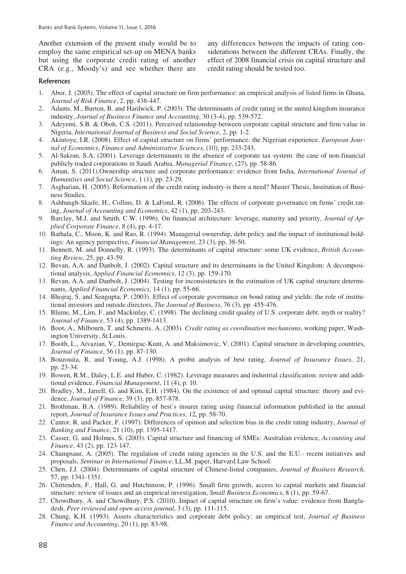Another extension of the present study would be to any differences between the impacts of rating con- $CRA$  (e.g., Moody's) and see whether there are

credit rating should be tested too. employ the same empirical set-up on MENA banks siderations between the different CRAs. Finally, the but using the corporate credit rating of another effect of 2008 financial crisis on capital structure and

#### References

- 1. Abor, J. (2005). The effect of capital structure on firm performance: an empirical analysis of listed firms in Ghana, *Journal of Risk Finance*, 2, pp. 438-447.
- 2. Adams, M., Burton, B. and Hardwick, P. (2003). The determinants of credit rating in the united kingdom insurance industry, *Journal of Business Finance and Accounting*, 30 (3-4), pp. 539-572.
- 3. Adevemi, S.B. & Oboh, C.S. (2011). Perceived relationship between corporate capital structure and firm value in Nigeria, *International Journal of Business and Social Science*, 2, pp. 1-2.
- 4. Akintoye, I.R. (2008). Effect of capital structure on firms' performance: the Nigerian experience, *European Journal of Economics, Finance and Administrative Sciences*, (10), pp. 233-243.
- 5. Al-Sakran, S.A. (2001). Leverage determinants in the absence of corporate tax system: the case of non-financial publicly traded corporations in Saudi Arabia, *Managerial Finance*, (27), pp. 58-86.
- *Humanities and Social Science*, 1 (1), pp. 23-29. 6. Aman, S. (2011).Ownership structure and corporate performance: evidence from India, *International Journal of*
- 7. Asgharian, H. (2005). Reformation of the credit rating industry-is there a need? Master Thesis, Institution of Business Studies.
- 8. Ashbaugh-Skaife, H., Collins, D. & LaFond, R. (2006). The effects of corporate governance on firms' credit rating, *Journal of Accounting and Economics*, 42 (1), pp. 203-243.
- 9. Barclay, M.J. and Smith, C.W. (1996). On financial architecture: leverage, maturity and priority, *Journal of Applied Corporate Finance*, 8 (4), pp. 4-17.
- 10. Bathala, C., Moon, K. and Rao, R. (1994). Managerial ownership, debt policy and the impact of institutional holdings: An agency perspective, *Financial Management*, 23 (3), pp. 38-50.
- 11. Bennett, M. and Donnelly, R. (1993). The determinants of capital structure: some UK evidence, *British Accounting Review*, 25, pp. 43-59.
- 12. Bevan, A.A. and Danbolt, J. (2002). Capital structure and its determinants in the United Kingdom: A decompositional analysis, *Applied Financial Economics*, 12 (3), pp. 159-170.
- 13. Bevan, A.A. and Danbolt, J. (2004). Testing for inconsistencies in the estimation of UK capital structure determinants, *Applied Financial Economics*, 14 (1), pp. 55-66.
- 14. Bhojraj, S. and Sengupta, P. (2003). Effect of corporate governance on bond rating and yields: the role of institutional investors and outside directors, *The Journal of Business*, 76 (3), pp. 455-476.
- 15. Blume, M., Lim, F. and Mackinlay, C. (1998). The declining credit quality of U.S. corporate debt: myth or reality? *Journal of Finance*, 53 (4), pp. 1389-1413.
- 16. Boot, A., Milbourn, T. and Schmeits, A. (2003). *Credit rating as coordination mechanisms*, working paper, Washington University, St.Louis.
- 17. Booth, L., Aivazian, V., Demirguc-Kunt, A. and Maksimovic, V. (2001). Capital structure in developing countries, *Journal of Finance*, 56 (1), pp. 87-130.
- 18. Bouzouita, R. and Young, A.J. (1998). A probit analysis of best rating, *Journal of Insurance Issues*, 21, pp. 23-34.
- 19. Bowen, R.M., Daley, L.E. and Huber, C. (1982). Leverage measures and industrial classification: review and additional evidence, *Financial Management*, 11 (4), p. 10.
- 20. Bradley, M., Jarrell, G. and Kim, E.H. (1984). On the existence of and optimal capital structure: theory and evidence, *Journal of Finance*, 39 (3), pp. 857-878.
- 21. Brothman, B.A. (1989). Reliability of best's insurer rating using financial information published in the annual report, *Journal of Insurance Issues and Practices*, 12, pp. 58-70.
- 22. Cantor, R. and Packer, F. (1997). Differences of opinion and selection bias in the credit rating industry, *Journal of Banking and Finance*, 21 (10), pp. 1395-1417.
- 23. Casser, G. and Holmes, S. (2003). Capital structure and financing of SMEs: Australian evidence, *Accounting and Finance*, 43 (2), pp. 123-147.
- 24. Champsaur, A. (2005). The regulation of credit rating agencies in the U.S. and the E.U.- recent initiatives and proposals, *Seminar in International Finance*, LL.M. paper, Harvard Law School.
- 25. Chen, J.J. (2004). Determinants of capital structure of Chinese-listed companies, *Journal of Business Research,*  57, pp. 1341-1351.
- 26. Chittenden, F., Hall, G. and Hutchinson, P. (1996). Small firm growth, access to capital markets and financial structure: review of issues and an empirical investigation, *Small Business Economics*, 8 (1), pp. 59-67.
- 27. Chowdhury, A. and Chowdhury, P.S. (2010). Impact of capital structure on firm's value: evidence from Bangladesh, *Peer reviewed and open access journal*, 3 (3), pp. 111-115.
- 28. Chung, K.H. (1993). Assets characteristics and corporate debt policy: an empirical test, *Journal of Business Finance and Accounting*, 20 (1), pp. 83-98.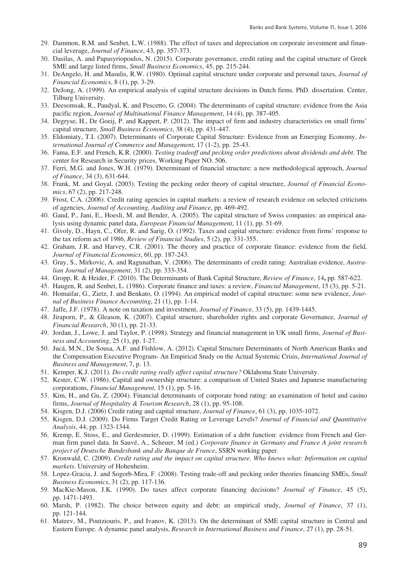- 29. Dammon, R.M. and Senbet, L.W. (1988). The effect of taxes and depreciation on corporate investment and financial leverage, *Journal of Finance*, 43, pp. 357-373.
- 30. Dasilas, A. and Papasyriopoulos, N. (2015). Corporate governance, credit rating and the capital structure of Greek SME and large listed firms, *Small Business Economics*, 45, pp. 215-244.
- *Financial Economics*, 8 (1), pp. 3-29. 31. DeAngelo, H. and Masulis, R.W. (1980). Optimal capital structure under corporate and personal taxes, *Journal of*
- 32. DeJong, A. (1999). An empirical analysis of capital structure decisions in Dutch firms. PhD. dissertation. Center, Tilburg University.
- 33. Deesomsak, R., Paudyal, K. and Pescetto, G. (2004). The determinants of capital structure: evidence from the Asia pacific region, *Journal of Multinational Finance Management*, 14 (4), pp. 387-405.
- 34. Degryse, H., De Goeij, P. and Kappert, P. (2012). The impact of firm and industry characteristics on small firms' capital structure, *Small Business Economics*, 38 (4), pp. 431-447.
- 35. Eldomiaty, T.I. (2007). Determinants of Corporate Capital Structure: Evidence from an Emerging Economy, *International Journal of Commerce and Management*, 17 (1-2), pp. 25-43.
- 36. Fama, E.F. and French, K.R. (2000). *Testing tradeoff and pecking order predictions about dividends and debt*. The center for Research in Security prices, Working Paper NO. 506.
- 37. Ferri, M.G. and Jones, W.H. (1979). Determinant of financial structure: a new methodological approach, *Journal of Finance*, 34 (3), 631-644.
- 38. Frank, M. and Goyal. (2003). Testing the pecking order theory of capital structure, *Journal of Financial Economics*, 67 (2), pp. 217-248.
- 39. Frost, C.A. (2006). Credit rating agencies in capital markets: a review of research evidence on selected criticisms of agencies, *Journal of Accounting, Auditing and Finance*, pp. 469-492.
- 40. Gaud, P., Jani, E., Hoesli, M. and Bender, A. (2005). The capital structure of Swiss companies: an empirical analysis using dynamic panel data, *European Financial Management*, 11 (1), pp. 51-69.
- 41. Givoly, D., Hayn, C., Ofer, R. and Sarig, O. (1992). Taxes and capital structure: evidence from firms' response to the tax reform act of 1986, *Review of Financial Studies*, 5 (2), pp. 331-355.
- 42. Graham, J.R. and Harvey, C.R. (2001). The theory and practice of corporate finance: evidence from the field, *Journal of Financial Economics*, 60, pp. 187-243.
- 43. Gray, S., Mirkovic, A. and Ragunathan, V. (2006). The determinants of credit rating: Australian evidence, *Australian Journal of Management*, 31 (2), pp. 333-354.
- 44. Gropp, R. & Heider, F. (2010). The Determinants of Bank Capital Structure, *Review of Finance*, 14**,** pp. 587-622.
- 45. Haugen, R. and Senbet, L. (1986). Corporate finance and taxes: a review, *Financial Management*, 15 (3), pp. 5-21.
- 46. Homaifar, G., Zietz, J. and Benkato, O. (1994). An empirical model of capital structure: some new evidence, *Journal of Business Finance Accounting*, 21 (1), pp. 1-14.
- 47. Jaffe, J.F. (1978). A note on taxation and investment, *Journal of Finance*, 33 (5), pp. 1439-1445.
- 48. Jiraporn, P., & Gleason, K. (2007). Capital structure, shareholder rights and corporate Governance, *Journal of Financial Research*, 30 (1), pp. 21-33.
- ness and Accounting,  $25(1)$ , pp. 1-27. 49. Jordan, J., Lowe, J. and Taylor, P. (1998). Strategy and financial management in UK small firms, *Journal of Busi-*
- 50. Jucá, M.N., De Sousa, A.F. and Fishlow, A. (2012). Capital Structure Determinants of North American Banks and the Compensation Executive Program- An Empirical Study on the Actual Systemic Crisis, *International Journal of Business and Management*, 7, p. 13.
- 51. Kemper, K.J. (2011). *Do credit rating really affect capital structure?* Oklahoma State University.
- 52. Kester, C.W. (1986). Capital and ownership structure: a comparison of United States and Japanese manufacturing corporations, *Financial Management*, 15 (1), pp. 5-16.
- 53. Kim, H., and Gu, Z. (2004). Financial determinants of corporate bond rating: an examination of hotel and casino firms, *Journal of Hospitality & Tourism Research*, 28 (1), pp. 95-108.
- 54. Kisgen, D.J. (2006) Credit rating and capital structure, *Journal of Finance*, 61 (3), pp. 1035-1072.
- 55. Kisgen, D.J. (2009). Do Firms Target Credit Rating or Leverage Levels? *Journal of Financial and Quantitative Analysis*, 44, pp. 1323-1344.
- 56. Kremp, E. Stoss, E., and Gerdesmeier, D. (1999). Estimation of a debt function: evidence from French and German firm panel data. In Sauvé, A., Scheuer, M (ed.) *Corporate finance in Germany and France A joint research project of Deutsche Bundesbank and die Banque de France*, SSRN working paper.
- 57. Kronwald, C. (2009). *Credit rating and the impact on capital structure. Who knows what: Information on capital markets*. University of Hohenheim.
- 58. Lopez-Gracia, J. and Sogorb-Mira, F. (2008). Testing trade-off and pecking order theories financing SMEs, *Small Business Economics*, 31 (2), pp. 117-136.
- 59. MacKie-Mason, J.K. (1990). Do taxes affect corporate financing decisions? *Journal of Finance*, 45 (5), pp. 1471-1493.
- 60. Marsh, P. (1982). The choice between equity and debt: an empirical study, *Journal of Finance*, 37 (1), pp. 121-144.
- 61. Mateev, M., Poutziouris, P., and Ivanov, K. (2013). On the determinant of SME capital structure in Central and Eastern Europe. A dynamic panel analysis, *Research in International Business and Finance*, 27 (1), pp. 28-51.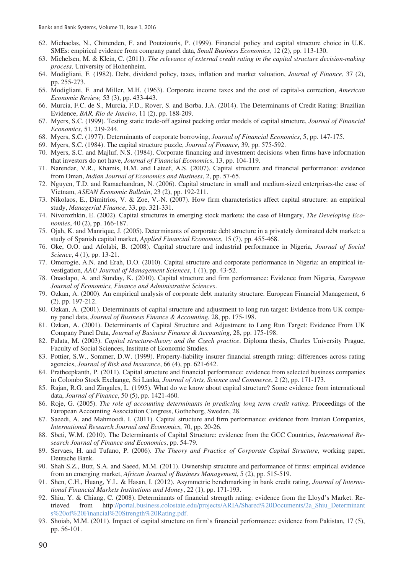- 62. Michaelas, N., Chittenden, F. and Poutziouris, P. (1999). Financial policy and capital structure choice in U.K. SMEs: empirical evidence from company panel data, *Small Business Economics*, 12 (2), pp. 113-130.
- 63. Michelsen, M. & Klein, C. (2011). *The relevance of external credit rating in the capital structure decision-making process*. University of Hohenheim.
- 64. Modigliani, F. (1982). Debt, dividend policy, taxes, inflation and market valuation, *Journal of Finance*, 37 (2), pp. 255-273.
- 65. Modigliani, F. and Miller, M.H. (1963). Corporate income taxes and the cost of capital-a correction, *American Economic Review,* 53 (3), pp. 433-443.
- 66. Murcia, F.C. de S., Murcia, F.D., Rover, S. and Borba, J.A. (2014). The Determinants of Credit Rating: Brazilian Evidence, *BAR, Rio de Janeiro*, 11 (2), pp. 188-209.
- 67. Myers, S.C. (1999). Testing static trade-off against pecking order models of capital structure, *Journal of Financial Economics*, 51, 219-244.
- 68. Myers, S.C. (1977). Determinants of corporate borrowing, *Journal of Financial Economics*, 5, pp. 147-175.
- 69. Myers, S.C. (1984). The capital structure puzzle, *Journal of Finance*, 39, pp. 575-592.
- 70. Myers, S.C. and Majluf, N.S. (1984). Corporate financing and investment decisions when firms have information that investors do not have, *Journal of Financial Economics*, 13, pp. 104-119.
- from Oman, *Indian Journal of Economics and Business*, 2, pp. 57-65. 71. Narendar, V.R., Khamis, H.M. and Lateef, A.S. (2007). Capital structure and financial performance: evidence
- 72. Nguyen, T.D. and Ramachandran, N. (2006). Capital structure in small and medium-sized enterprises-the case of Vietnam, *ASEAN Economic Bulletin*, 23 (2), pp. 192-211.
- 73. Nikolaos, E., Dimitrios, V. & Zoe, V.-N. (2007). How firm characteristics affect capital structure: an empirical study, *Managerial Finance*, 33, pp. 321-331.
- 74. Nivorozhkin, E. (2002). Capital structures in emerging stock markets: the case of Hungary, *The Developing Economies*, 40 (2), pp. 166-187.
- 75. Ojah, K. and Manrique, J. (2005). Determinants of corporate debt structure in a privately dominated debt market: a study of Spanish capital market, *Applied Financial Economics*, 15 (7), pp. 455-468.
- *Science*, 4 (1), pp. 13-21. 76. Oke, O.O. and Afolabi, B. (2008). Capital structure and industrial performance in Nigeria, *Journal of Social*
- 77. Omorogie, A.N. and Erah, D.O. (2010). Capital structure and corporate performance in Nigeria: an empirical investigation, *AAU Journal of Management Sciences*, 1 (1), pp. 43-52.
- 78. Onaolapo, A. and Sunday, K. (2010). Capital structure and firm performance: Evidence from Nigeria, *European Journal of Economics, Finance and Administrative Sciences*.
- 79. Ozkan, A. (2000). An empirical analysis of corporate debt maturity structure. European Financial Management, 6 (2), pp. 197-212.
- 80. Ozkan, A. (2001). Determinants of capital structure and adjustment to long run target: Evidence from UK company panel data, *Journal of Business Finance & Accounting*, 28, pp. 175-198.
- 81. Ozkan, A. (2001). Determinants of Capital Structure and Adjustment to Long Run Target: Evidence From UK Company Panel Data, *Journal of Business Finance & Accounting*, 28, pp. 175-198.
- 82. Palata, M. (2003). *Capital structure-theory and the Czech practice*. Diploma thesis, Charles University Prague, Faculty of Social Sciences, Institute of Economic Studies.
- 83. Pottier, S.W., Sommer, D.W. (1999). Property-liability insurer financial strength rating: differences across rating agencies, *Journal of Risk and Insurance*, 66 (4), pp. 621-642.
- 84. Pratheepkanth, P. (2011). Capital structure and financial performance: evidence from selected business companies in Colombo Stock Exchange, Sri Lanka, *Journal of Arts, Science and Commerce*, 2 (2), pp. 171-173.
- 85. Rajan, R.G. and Zingales, L. (1995). What do we know about capital structure? Some evidence from international data, *Journal of Finance*, 50 (5), pp. 1421-460.
- 86. Roje, G. (2005). *The role of accounting determinants in predicting long term credit rating*. Proceedings of the European Accounting Association Congress, Gotheborg, Sweden, 28.
- 87. Saeedi, A. and Mahmoodi, I. (2011). Capital structure and firm performance: evidence from Iranian Companies, *International Research Journal and Economics*, 70, pp. 20-26.
- 88. Sbeti, W.M. (2010). The Determinants of Capital Structure: evidence from the GCC Countries, *International Research Journal of Finance and Economics*, pp. 54-79.
- 89. Servaes, H. and Tufano, P. (2006). *The Theory and Practice of Corporate Capital Structure*, working paper, Deutsche Bank.
- 90. Shah S.Z., Butt, S.A. and Saeed, M.M. (2011). Ownership structure and performance of firms: empirical evidence from an emerging market, *African Journal of Business Management*, 5 (2), pp. 515-519.
- 91. Shen, C.H., Huang, Y.L. & Hasan, I. (2012). Asymmetric benchmarking in bank credit rating, *Journal of International Financial Markets Institutions and Money*, 22 (1), pp. 171-193.
- 92. Shiu, Y. & Chiang, C. (2008). Determinants of financial strength rating: evidence from the Lloyd's Market. Retrieved from http://portal.business.colostate.edu/projects/ARIA/Shared%20Documents/2a\_Shiu\_Determinant s%20of%20Financial%20Strength%20Rating.pdf.
- 93. Shoiab, M.M. (2011). Impact of capital structure on firm`s financial performance: evidence from Pakistan, 17 (5), pp. 56-101.